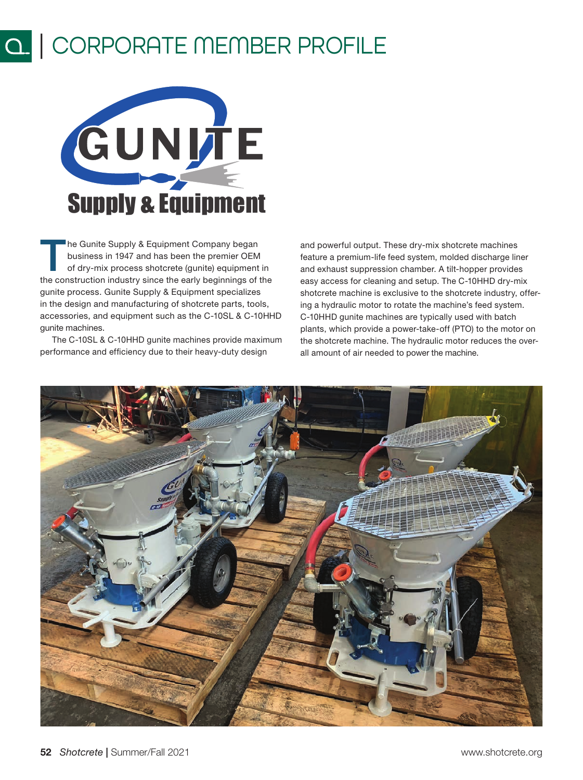## $\overline{a}$ | CORPORATE MEMBER PROFILE



The Gunite Supply & Equipment Company began<br>
business in 1947 and has been the premier OEM<br>
of dry-mix process shotcrete (gunite) equipment in<br>
the construction industry since the sorth beginnings of the business in 1947 and has been the premier OEM the construction industry since the early beginnings of the gunite process. Gunite Supply & Equipment specializes in the design and manufacturing of shotcrete parts, tools, accessories, and equipment such as the C-10SL & C-10HHD gunite machines.

The C-10SL & C-10HHD gunite machines provide maximum performance and efficiency due to their heavy-duty design

and powerful output. These dry-mix shotcrete machines feature a premium-life feed system, molded discharge liner and exhaust suppression chamber. A tilt-hopper provides easy access for cleaning and setup. The C-10HHD dry-mix shotcrete machine is exclusive to the shotcrete industry, offering a hydraulic motor to rotate the machine's feed system. C-10HHD gunite machines are typically used with batch plants, which provide a power-take-off (PTO) to the motor on the shotcrete machine. The hydraulic motor reduces the overall amount of air needed to power the machine.